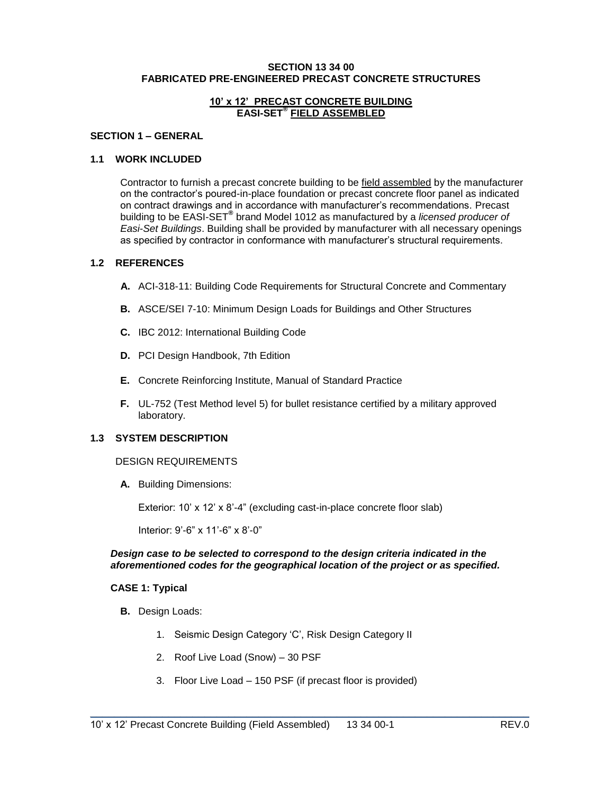#### **SECTION 13 34 00 FABRICATED PRE-ENGINEERED PRECAST CONCRETE STRUCTURES**

### **10' x 12' PRECAST CONCRETE BUILDING EASI-SET® FIELD ASSEMBLED**

#### **SECTION 1 – GENERAL**

### **1.1 WORK INCLUDED**

Contractor to furnish a precast concrete building to be field assembled by the manufacturer on the contractor's poured-in-place foundation or precast concrete floor panel as indicated on contract drawings and in accordance with manufacturer's recommendations. Precast building to be EASI-SET® brand Model 1012 as manufactured by a *licensed producer of Easi-Set Buildings*. Building shall be provided by manufacturer with all necessary openings as specified by contractor in conformance with manufacturer's structural requirements.

#### **1.2 REFERENCES**

- **A.** ACI-318-11: Building Code Requirements for Structural Concrete and Commentary
- **B.** ASCE/SEI 7-10: Minimum Design Loads for Buildings and Other Structures
- **C.** IBC 2012: International Building Code
- **D.** PCI Design Handbook, 7th Edition
- **E.** Concrete Reinforcing Institute, Manual of Standard Practice
- **F.** UL-752 (Test Method level 5) for bullet resistance certified by a military approved laboratory.

#### **1.3 SYSTEM DESCRIPTION**

#### DESIGN REQUIREMENTS

**A.** Building Dimensions:

Exterior: 10' x 12' x 8'-4" (excluding cast-in-place concrete floor slab)

Interior: 9'-6" x 11'-6" x 8'-0"

#### *Design case to be selected to correspond to the design criteria indicated in the aforementioned codes for the geographical location of the project or as specified.*

#### **CASE 1: Typical**

- **B.** Design Loads:
	- 1. Seismic Design Category 'C', Risk Design Category II
	- 2. Roof Live Load (Snow) 30 PSF
	- 3. Floor Live Load 150 PSF (if precast floor is provided)

\_\_\_\_\_\_\_\_\_\_\_\_\_\_\_\_\_\_\_\_\_\_\_\_\_\_\_\_\_\_\_\_\_\_\_\_\_\_\_\_\_\_\_\_\_\_\_\_\_\_\_\_\_\_\_\_\_\_\_\_\_\_\_\_\_\_\_\_\_\_\_\_\_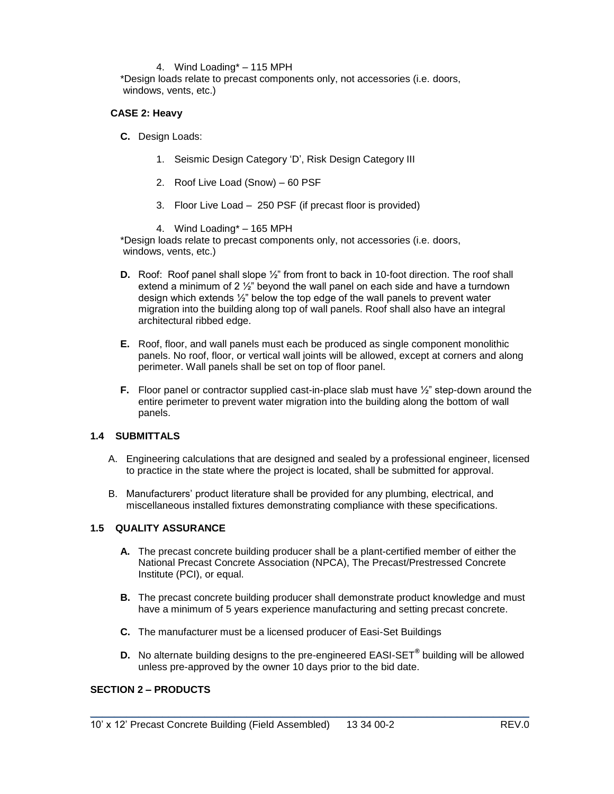### 4. Wind Loading\* – 115 MPH

\*Design loads relate to precast components only, not accessories (i.e. doors, windows, vents, etc.)

### **CASE 2: Heavy**

**C.** Design Loads:

- 1. Seismic Design Category 'D', Risk Design Category III
- 2. Roof Live Load (Snow) 60 PSF
- 3. Floor Live Load 250 PSF (if precast floor is provided)
- 4. Wind Loading\* 165 MPH

\*Design loads relate to precast components only, not accessories (i.e. doors, windows, vents, etc.)

- **D.** Roof: Roof panel shall slope  $\frac{1}{2}$ " from front to back in 10-foot direction. The roof shall extend a minimum of 2 ½" beyond the wall panel on each side and have a turndown design which extends ½" below the top edge of the wall panels to prevent water migration into the building along top of wall panels. Roof shall also have an integral architectural ribbed edge.
- **E.** Roof, floor, and wall panels must each be produced as single component monolithic panels. No roof, floor, or vertical wall joints will be allowed, except at corners and along perimeter. Wall panels shall be set on top of floor panel.
- **F.** Floor panel or contractor supplied cast-in-place slab must have  $\frac{1}{2}$ " step-down around the entire perimeter to prevent water migration into the building along the bottom of wall panels.

### **1.4 SUBMITTALS**

- A. Engineering calculations that are designed and sealed by a professional engineer, licensed to practice in the state where the project is located, shall be submitted for approval.
- B. Manufacturers' product literature shall be provided for any plumbing, electrical, and miscellaneous installed fixtures demonstrating compliance with these specifications.

#### **1.5 QUALITY ASSURANCE**

- **A.** The precast concrete building producer shall be a plant-certified member of either the National Precast Concrete Association (NPCA), The Precast/Prestressed Concrete Institute (PCI), or equal.
- **B.** The precast concrete building producer shall demonstrate product knowledge and must have a minimum of 5 years experience manufacturing and setting precast concrete.
- **C.** The manufacturer must be a licensed producer of Easi-Set Buildings
- **D.** No alternate building designs to the pre-engineered EASI-SET**®** building will be allowed unless pre-approved by the owner 10 days prior to the bid date.

\_\_\_\_\_\_\_\_\_\_\_\_\_\_\_\_\_\_\_\_\_\_\_\_\_\_\_\_\_\_\_\_\_\_\_\_\_\_\_\_\_\_\_\_\_\_\_\_\_\_\_\_\_\_\_\_\_\_\_\_\_\_\_\_\_\_\_\_\_\_\_\_\_

## **SECTION 2 – PRODUCTS**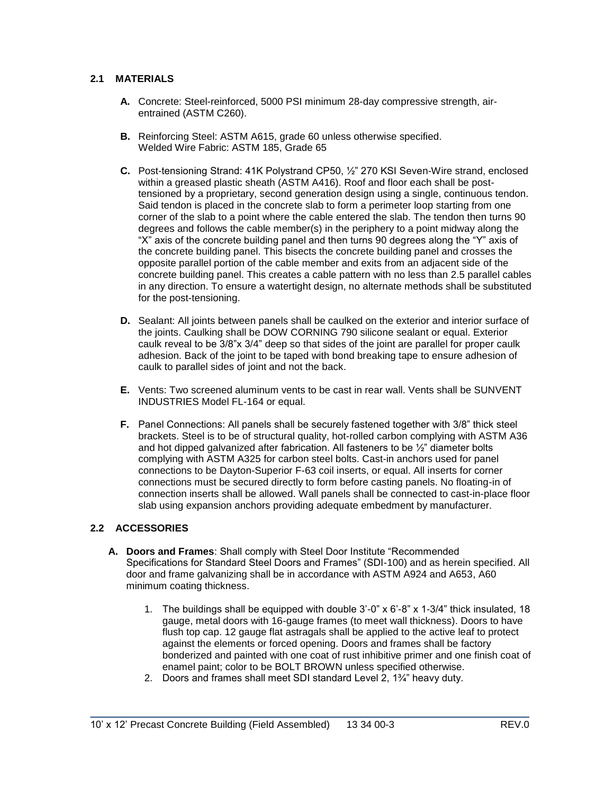## **2.1 MATERIALS**

- **A.** Concrete: Steel-reinforced, 5000 PSI minimum 28-day compressive strength, airentrained (ASTM C260).
- **B.** Reinforcing Steel: ASTM A615, grade 60 unless otherwise specified. Welded Wire Fabric: ASTM 185, Grade 65
- **C.** Post-tensioning Strand: 41K Polystrand CP50, ½" 270 KSI Seven-Wire strand, enclosed within a greased plastic sheath (ASTM A416). Roof and floor each shall be posttensioned by a proprietary, second generation design using a single, continuous tendon. Said tendon is placed in the concrete slab to form a perimeter loop starting from one corner of the slab to a point where the cable entered the slab. The tendon then turns 90 degrees and follows the cable member(s) in the periphery to a point midway along the "X" axis of the concrete building panel and then turns 90 degrees along the "Y" axis of the concrete building panel. This bisects the concrete building panel and crosses the opposite parallel portion of the cable member and exits from an adjacent side of the concrete building panel. This creates a cable pattern with no less than 2.5 parallel cables in any direction. To ensure a watertight design, no alternate methods shall be substituted for the post-tensioning.
- **D.** Sealant: All joints between panels shall be caulked on the exterior and interior surface of the joints. Caulking shall be DOW CORNING 790 silicone sealant or equal. Exterior caulk reveal to be 3/8"x 3/4" deep so that sides of the joint are parallel for proper caulk adhesion. Back of the joint to be taped with bond breaking tape to ensure adhesion of caulk to parallel sides of joint and not the back.
- **E.** Vents: Two screened aluminum vents to be cast in rear wall. Vents shall be SUNVENT INDUSTRIES Model FL-164 or equal.
- **F.** Panel Connections: All panels shall be securely fastened together with 3/8" thick steel brackets. Steel is to be of structural quality, hot-rolled carbon complying with ASTM A36 and hot dipped galvanized after fabrication. All fasteners to be ½" diameter bolts complying with ASTM A325 for carbon steel bolts. Cast-in anchors used for panel connections to be Dayton-Superior F-63 coil inserts, or equal. All inserts for corner connections must be secured directly to form before casting panels. No floating-in of connection inserts shall be allowed. Wall panels shall be connected to cast-in-place floor slab using expansion anchors providing adequate embedment by manufacturer.

# **2.2 ACCESSORIES**

- **A. Doors and Frames**: Shall comply with Steel Door Institute "Recommended Specifications for Standard Steel Doors and Frames" (SDI-100) and as herein specified. All door and frame galvanizing shall be in accordance with ASTM A924 and A653, A60 minimum coating thickness.
	- 1. The buildings shall be equipped with double 3'-0" x 6'-8" x 1-3/4" thick insulated, 18 gauge, metal doors with 16-gauge frames (to meet wall thickness). Doors to have flush top cap. 12 gauge flat astragals shall be applied to the active leaf to protect against the elements or forced opening. Doors and frames shall be factory bonderized and painted with one coat of rust inhibitive primer and one finish coat of enamel paint; color to be BOLT BROWN unless specified otherwise.
	- 2. Doors and frames shall meet SDI standard Level 2, 1¾" heavy duty.

\_\_\_\_\_\_\_\_\_\_\_\_\_\_\_\_\_\_\_\_\_\_\_\_\_\_\_\_\_\_\_\_\_\_\_\_\_\_\_\_\_\_\_\_\_\_\_\_\_\_\_\_\_\_\_\_\_\_\_\_\_\_\_\_\_\_\_\_\_\_\_\_\_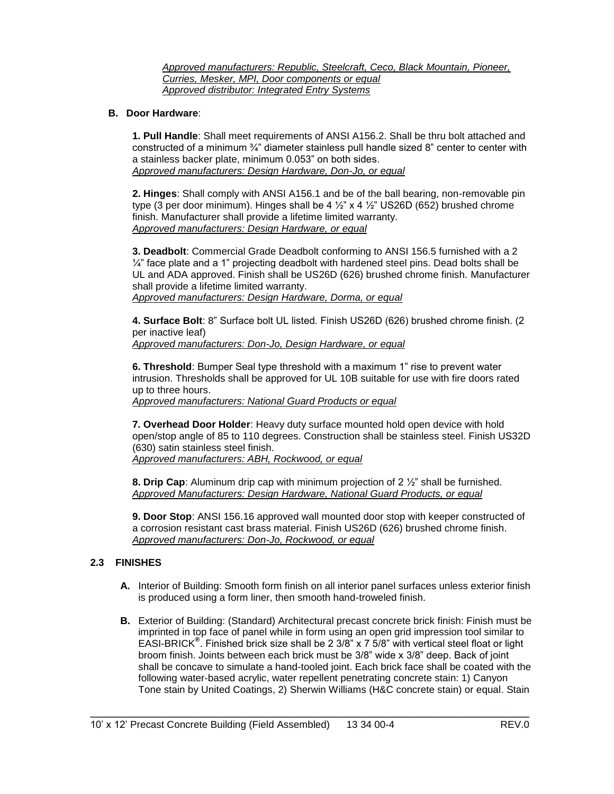*Approved manufacturers: Republic, Steelcraft, Ceco, Black Mountain, Pioneer, Curries, Mesker, MPI, Door components or equal Approved distributor: Integrated Entry Systems*

### **B. Door Hardware**:

**1. Pull Handle**: Shall meet requirements of ANSI A156.2. Shall be thru bolt attached and constructed of a minimum  $\frac{3}{4}$ " diameter stainless pull handle sized 8" center to center with a stainless backer plate, minimum 0.053" on both sides. *Approved manufacturers: Design Hardware, Don-Jo, or equal*

**2. Hinges**: Shall comply with ANSI A156.1 and be of the ball bearing, non-removable pin type (3 per door minimum). Hinges shall be 4  $\frac{1}{2}$  x 4  $\frac{1}{2}$  US26D (652) brushed chrome finish. Manufacturer shall provide a lifetime limited warranty. *Approved manufacturers: Design Hardware, or equal*

**3. Deadbolt**: Commercial Grade Deadbolt conforming to ANSI 156.5 furnished with a 2  $\frac{1}{4}$ " face plate and a 1" projecting deadbolt with hardened steel pins. Dead bolts shall be UL and ADA approved. Finish shall be US26D (626) brushed chrome finish. Manufacturer shall provide a lifetime limited warranty. *Approved manufacturers: Design Hardware, Dorma, or equal*

**4. Surface Bolt**: 8" Surface bolt UL listed. Finish US26D (626) brushed chrome finish. (2 per inactive leaf) *Approved manufacturers: Don-Jo, Design Hardware, or equal*

**6. Threshold**: Bumper Seal type threshold with a maximum 1" rise to prevent water intrusion. Thresholds shall be approved for UL 10B suitable for use with fire doors rated up to three hours.

*Approved manufacturers: National Guard Products or equal* 

**7. Overhead Door Holder**: Heavy duty surface mounted hold open device with hold open/stop angle of 85 to 110 degrees. Construction shall be stainless steel. Finish US32D (630) satin stainless steel finish.

*Approved manufacturers: ABH, Rockwood, or equal*

**8. Drip Cap**: Aluminum drip cap with minimum projection of 2 ½" shall be furnished. *Approved Manufacturers: Design Hardware, National Guard Products, or equal*

**9. Door Stop**: ANSI 156.16 approved wall mounted door stop with keeper constructed of a corrosion resistant cast brass material. Finish US26D (626) brushed chrome finish. *Approved manufacturers: Don-Jo, Rockwood, or equal*

## **2.3 FINISHES**

- **A.** Interior of Building: Smooth form finish on all interior panel surfaces unless exterior finish is produced using a form liner, then smooth hand-troweled finish.
- **B.** Exterior of Building: (Standard) Architectural precast concrete brick finish: Finish must be imprinted in top face of panel while in form using an open grid impression tool similar to EASI-BRICK**®** . Finished brick size shall be 2 3/8" x 7 5/8" with vertical steel float or light broom finish. Joints between each brick must be 3/8" wide x 3/8" deep. Back of joint shall be concave to simulate a hand-tooled joint. Each brick face shall be coated with the following water-based acrylic, water repellent penetrating concrete stain: 1) Canyon Tone stain by United Coatings, 2) Sherwin Williams (H&C concrete stain) or equal. Stain

\_\_\_\_\_\_\_\_\_\_\_\_\_\_\_\_\_\_\_\_\_\_\_\_\_\_\_\_\_\_\_\_\_\_\_\_\_\_\_\_\_\_\_\_\_\_\_\_\_\_\_\_\_\_\_\_\_\_\_\_\_\_\_\_\_\_\_\_\_\_\_\_\_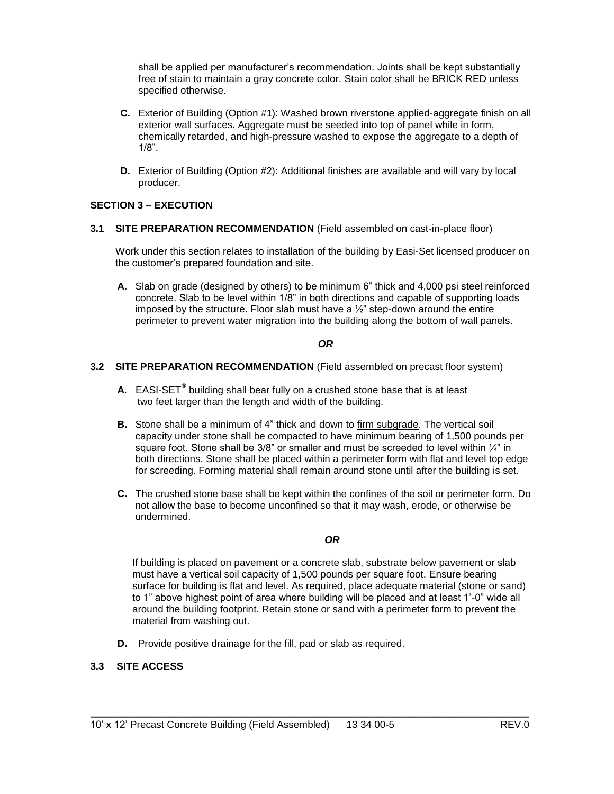shall be applied per manufacturer's recommendation. Joints shall be kept substantially free of stain to maintain a gray concrete color. Stain color shall be BRICK RED unless specified otherwise.

- **C.** Exterior of Building (Option #1): Washed brown riverstone applied-aggregate finish on all exterior wall surfaces. Aggregate must be seeded into top of panel while in form, chemically retarded, and high-pressure washed to expose the aggregate to a depth of 1/8".
- **D.** Exterior of Building (Option #2): Additional finishes are available and will vary by local producer.

## **SECTION 3 – EXECUTION**

**3.1 SITE PREPARATION RECOMMENDATION** (Field assembled on cast-in-place floor)

Work under this section relates to installation of the building by Easi-Set licensed producer on the customer's prepared foundation and site.

**A.** Slab on grade (designed by others) to be minimum 6" thick and 4,000 psi steel reinforced concrete. Slab to be level within 1/8" in both directions and capable of supporting loads imposed by the structure. Floor slab must have a  $\frac{1}{2}$ " step-down around the entire perimeter to prevent water migration into the building along the bottom of wall panels.

## *OR*

### **3.2 SITE PREPARATION RECOMMENDATION** (Field assembled on precast floor system)

- **A**. EASI-SET**®** building shall bear fully on a crushed stone base that is at least two feet larger than the length and width of the building.
- **B.** Stone shall be a minimum of 4" thick and down to firm subgrade. The vertical soil capacity under stone shall be compacted to have minimum bearing of 1,500 pounds per square foot. Stone shall be  $3/8$ " or smaller and must be screeded to level within  $\frac{1}{4}$ " in both directions. Stone shall be placed within a perimeter form with flat and level top edge for screeding. Forming material shall remain around stone until after the building is set.
- **C.** The crushed stone base shall be kept within the confines of the soil or perimeter form. Do not allow the base to become unconfined so that it may wash, erode, or otherwise be undermined.

## *OR*

If building is placed on pavement or a concrete slab, substrate below pavement or slab must have a vertical soil capacity of 1,500 pounds per square foot. Ensure bearing surface for building is flat and level. As required, place adequate material (stone or sand) to 1" above highest point of area where building will be placed and at least 1'-0" wide all around the building footprint. Retain stone or sand with a perimeter form to prevent the material from washing out.

\_\_\_\_\_\_\_\_\_\_\_\_\_\_\_\_\_\_\_\_\_\_\_\_\_\_\_\_\_\_\_\_\_\_\_\_\_\_\_\_\_\_\_\_\_\_\_\_\_\_\_\_\_\_\_\_\_\_\_\_\_\_\_\_\_\_\_\_\_\_\_\_\_

**D.** Provide positive drainage for the fill, pad or slab as required.

## **3.3 SITE ACCESS**